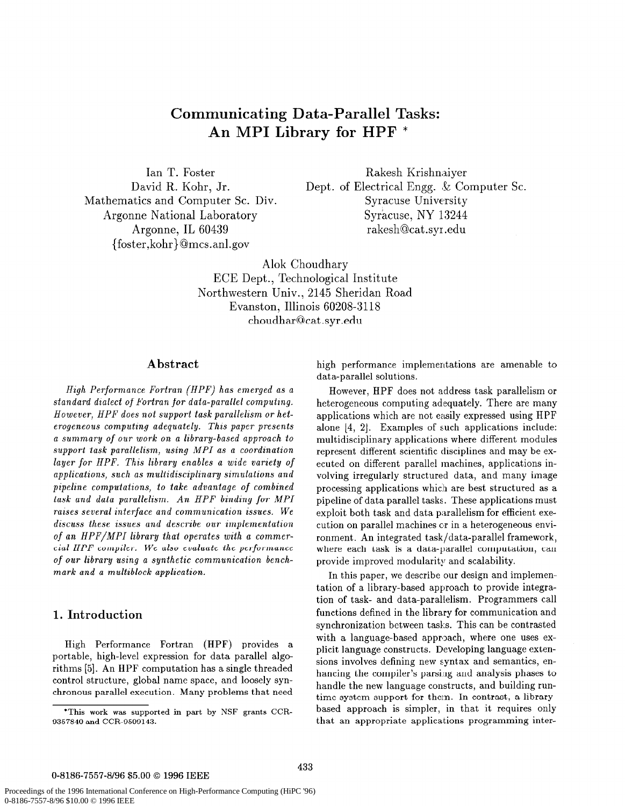# Communicating Data-Parallel Tasks: An MPI Library for HPF \*

Ian T. Foster David R. Kohr, Jr. Mathematics and Computer SC. Div. Argonne National Laboratory Argonne, IL 60439 {foster,kohr}@mcs.anl.gov

Rakesh Krishnaiyer Dept. of Electrical Engg. & Computer Sc. Syracuse University Syracuse, NY 13244 rakesh@cat .syr .edu

Alok Choudhary ECE Dept., Technological Institute Northwestern Univ., 2145 Sheridan Road Evanston, Illinois 60208-3118 choudhar@cat.syr.edu

## Abstract

High Performance Fortran (HPF) has emerged as a standard dialect of Fortran for data-parallel computing. However, HPF does not support task parallelism or heterogeneous computing adequately. This paper presents a summary of our work on a library-based approach to support task parallelism, using MPI as a coordination layer for HPF. This library enables a wide variety of applications, such as multidisciplinary simulations and pipeline computations, to take advantage of combined task and data parallelism. An HPF binding for MPI raises several interface and communication issues. We discuss these issues and describe our implementation of an HPF/MPI library that operates with a commercial HPF compiler. We also evaluate the performance of our library using a synthetic communication benchmark and a multiblock application.

#### 1. Introduction

High Performance Fortran (HPF) provides a portable, high-level expression for data parallel algorithms [5]. An HPF computation has a single threaded control structure, global name space, and loosely synchronous parallel execution. Many problems that need

high performance implementations are amenable to data-parallel solutions.

However, HPF does not address task parallelism or heterogeneous computing adequately. There are many applications which are not easily expressed using HPF alone  $[4, 2]$ . Examples of such applications include: multidisciplinary applications where different modules represent different scientific disciplines and may be executed on different parallel machines, applications involving irregularly structured data, and many image processing applications which are best structured as a pipeline of data parallel tasks. These applications must exploit both task and data parallelism for efficient execution on parallel machines or in a heterogeneous environment. An integrated task/data-parallel framework, where each task is a data-parallel computation, can provide improved modularity and scalability.

In this paper, we describe our design and implementation of a library-based approach to provide integration of task- and data-parallelism. Programmers call functions defined in the library for communication and synchronization between tasks. This can he contrasted with a language-based approach, where one uses explicit language constructs. Developing language extensions involves defining new syntax and semantics, enhancing the compiler's parsing and analysis phases to handle the new language constructs, and building runtime system support for them. In contrast, a libratybased approach is simpler, in that it requires only that an appropriate applications programming inter-

#### 0-8186-7557-8/96 \$5.00 @ 1996 IEEE

<sup>&#</sup>x27;This work was supported in part by NSF grants CCR-9357840 and CCR-9509143.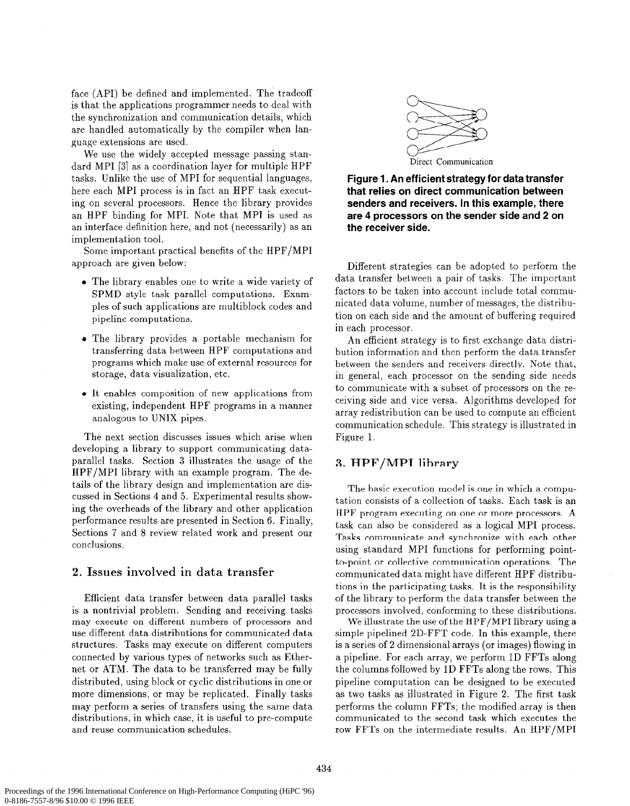face (API) be defined and implemented. The tradeoff is that the applications programmer needs to deal with the synchronization and communication details, which are handled automatically by the compiler when language extensions are used.

We use the widely accepted message passing standard MPI [3] as a coordination layer for multiple HPF tasks. Unlike the use of MPI for sequential languages, here each MPI process is in fact an HPF task executing on several processors. Hence the library provides an HPF binding for MPI. Note that MPI is used as an interface definition here, and not (necessarily) as an implementation tool.

Some important practical benefits of the HPF/MPI approach are given below:

- The library enables one to write a wide variety of SPMD style task parallel computations. Examples of such applications are multiblock codes and pipeline computations.
- The library provides a portable mechanism for transferring data between HPF computations and programs which make use of external resources for storage, data visualization, etc.
- It enables composition of new applications from existing, independent HPF programs in a manner analogous to UNIX pipes.

The next section discusses issues which arise when developing a library to support communicating dataparallel tasks. Section 3 illustrates the usage of the HPF/MPI library with an example program. The details of the library design and implementation are discussed in Sections 4 and 5. Experimental results showing the overheads of the library and other application performance results are presented in Section 6. Finally, Sections 7 and 8 review related work and present our conclusions.

## 2. Issues involved in data transfer

Efficient data transfer between data parallel tasks is a nontrivial problem. Sending and receiving tasks may execute on different numbers of processors and use different data distributions for communicated data structures. Tasks may execute on different computers connected by various types of networks such as Ethernet or ATM. The data to be transferred may be fully distributed, using block or cyclic distributions in one or more dimensions, or may be replicated. Finally tasks may perform a series of transfers using the same data distributions, in which case, it is useful to pre-compute and reuse communication schedules.



Figure 1. An efficient strategy for data transfer that relies on direct communication between senders and receivers. In this example, there are 4 processors on the sender side and 2 on the receiver side.

Different strategies can be adopted to perform the data transfer between a pair of tasks. The important factors to be taken into account include total communicated data volume, number of messages, the distribution on each side and the amount of buffering required in each processor.

An efficient strategy is to first exchange data distribution information and then perform the data transfer between the senders and receivers directly. Note that, in general, each processor on the sending side needs to communicate with a subset of processors on the receiving side and vice versa. Algorithms developed for array redistribution can be used to compute an efficient communication schedule. This strategy is illustrated in Figure 1.

## 3. HPF/MPI library

The basic execution model is one in which a computation consists of a collection of tasks. Each task is an HPF program executing on one or more processors. A task can also be considered as a logical MPI process. Tasks communicate and synchronize with each other using standard MPI functions for performing pointto-point or collective communication operations. The communicated data might have different HPF distributions in the participating tasks. It is the responsibility of the library to perform the data transfer between the processors involved, conforming to these distributions.

We illustrate the use of the HPF/MPI library using a simple pipelined 2D-FFT code. In this example, there is a series of 2 dimensional arrays (or images) flowing in a pipeline. For each array, we perform 1D FFTs along the columns followed by 1D FFTs along the rows. This pipeline computation can be designed to be executed as two tasks as illustrated in Figure 2. The first task performs the column FFTs; the modified array is then communicated to the second task which executes the row FFTs on the intermediate results. An HPF/MPI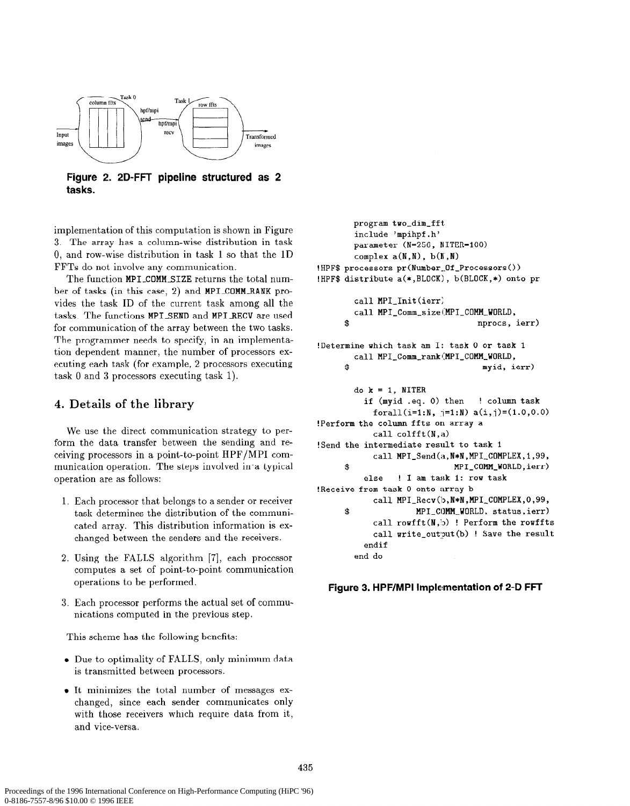

Figure 2. 2D-FFT pipeline structured as 2 tasks.

implementation of this computation is shown in Figure 3. The array has a column-wise distribution in task 0, and row-wise distribution in task 1 so that the 1D FFTs do not involve any communication.

The function MPI-COMMSIZE returns the total number of tasks (in this case, 2) and MPI-COMM-RANK provides the task ID of the current task among all the tasks. The functions MPI\_SEND and MPI\_RECV are used for communication of the array between the two tasks. The programmer needs to specify, in an implementation dependent manner, the number of processors executing each task (for example, 2 processors executing task 0 and 3 processors executing task 1).

## 4. Details of the library

We use the direct communication strategy to perform the data transfer between the sending and receiving processors in a point-to-point HPF/MPI communication operation. The steps involved in a typical operation are as follows:

- 1. Each processor that belongs to a sender or receiver task determines the distribution of the communicated array. This distribution information is exchanged between the senders and the receivers.
- 2. Using the FALLS algorithm [7], each processor computes a set of point-to-point communication operations to be performed.
- 3. Each processor performs the actual set of communications computed in the previous step.

This scheme has the following benefits:

- Due to optimality of FALLS, only minimum data is transmitted between processors.
- . It minimizes the total number of messages exchanged, since each sender communicates only with those receivers which require data from it, and vice-versa.

program two-dim-fft include 'mpihpf.h' parameter (N=256, NITER=lOO) complex  $a(N,N)$ ,  $b(N,N)$ !HPF\$ processors pr(Number\_Of\_Processors()) !HPF\$ distribute a(\*,BLOCK), b(BLOCK,\*) onto pr call MPI\_Init(ierr) call MPI\_Comm\_size(MPI\_COMM\_WORLD, \$ nprocs, ierr) !Determine which task am I: task 0 or task i call MPI\_Comm\_rank(MPI\_COMM\_WORLD, \$ myid, ierr) do  $k = 1$ , NITER if (myid .eq. 0) then ! column task forall(i=1:N,  $j=1:N$ ) a(i,j)=(1.0,0.0) !Perform the column ffts on array a call colfft(N,a) !Send the intermediate result to task 1 call MPI\_Send(a,N\*N,MPI\_COMPLEX,1,99, \$ MPI-COMM-WORLD,ierr) else ! I am task 1: row task !Receive from task 0 onto array b call MPI\_Recv(b, N\*N, MPI\_COMPLEX, 0, 99, \$ MPI\_COMM\_WORLD, status,ierr) call rowfft(N,b) ! Perform the rowffts call write\_output(b) ! Save the result endif end do

Figure 3. HPF/MPI Implementation of 2-D FFT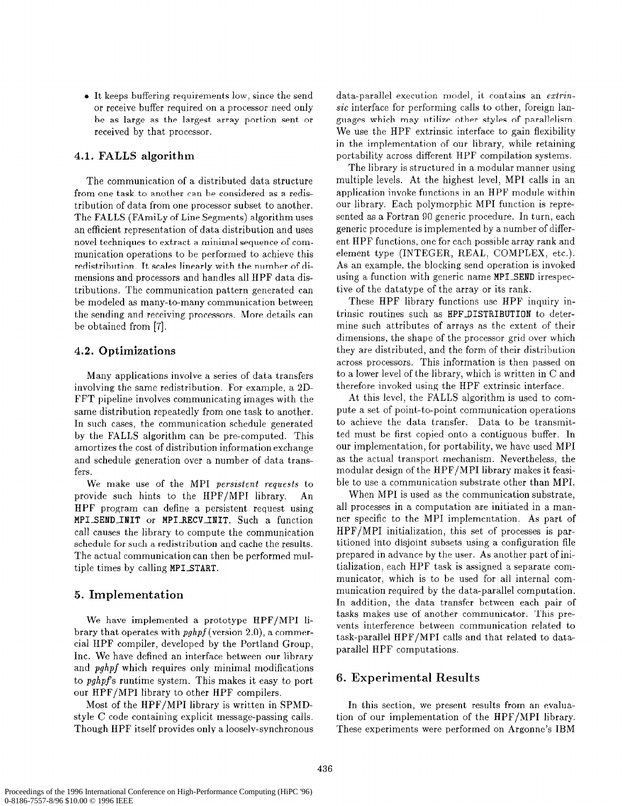$\bullet$  It keeps buffering requirements low, since the send or receive buffer required on a processor need only be as large as the largest array portion sent or received by that processor.

## 4.1. FALLS algorithm

The communication of a distributed data structure from one task to another can be considered as a redistribution of data from one processor subset to another. The FALLS (FAmiLy of Line Segments) algorithm uses an efficient representation of data distribution and uses novel techniques to extract a minimal sequence of communication operations to be performed to achieve this redistribution. It scales linearly with the number of dimensions and processors and handles all HPF data distributions. The communication pattern generated can be modeled as many-to-many communication between the sending and receiving processors. More details can be obtained from [7].

#### 4.2. Optimizations

Many applications involve a series of data transfers involving the same redistribution. For example, a 2D-FFT pipeline involves communicating images with the same distribution repeatedly from one task to another. In such cases, the communication schedule generated by the FALLS algorithm can be pre-computed. This amortizes the cost of distribution information exchange and schedule generation over a number of data transfers.

We make use of the MPI persistent requests to provide such hints to the HPF/MPI library. An HPF program can define a persistent request using MPI SEND INIT or MPI-RECV-INIT. Such a function call causes the library to compute the communication schedule for such a redistribution and cache the results. The actual communication can then be performed multiple times by calling MPISTART.

## 5. Implementation

We have implemented a prototype HPF/MPI library that operates with  $pghpf$  (version 2.0), a commercial HPF compiler, developed by the Portland Group, Inc. We have defined an interface between our library and *pghpf* which requires only minimal modifications to  $pghpfs$  runtime system. This makes it easy to port our HPF/MPI library to other HPF compilers.

Most of the HPF/MPI library is written in SPMDstyle C code containing explicit message-passing calls. Though HPF itself provides only a loosely-synchronous data-parallel execution model, it contains an eztrinsic interface for performing calls to other, foreign languages which may utilize other styles of parallelism. We use the HPF extrinsic interface to gain flexibility in the implementation of our library, while retaining portability across different HPF compilation systems.

The library is structured in a modular manner using multiple levels. At the highest level, MPI calls in an application invoke functions in an HPF module within our library. Each polymorphic MPI function is represented as a Fortran 90 generic procedure. In turn, each generic procedure is implemented by a number of different HPF functions, one for each possible array rank and element type (INTEGER, REAL, COMPLEX, etc.). As an example, the blocking send operation is invoked using a function with generic name MPISEND irrespective of the datatype of the array or its rank.

These HPF library functions use HPF inquiry intrinsic routines such as HPFDISTRIBUTION to determine such attributes of arrays as the extent of their dimensions, the shape of the processor grid over which they are distributed, and the form of their distribution across processors. This information is then passed on to a lower level of the library, which is written in C and therefore invoked using the HPF extrinsic interface.

At this level, the FALLS algorithm is used to compute a set of point-to-point communication operations to achieve the data transfer. Data to be transmitted must be first copied onto a contiguous buffer. In our implementation, for portability, we have used MPI as the actual transport mechanism. Nevertheless, the modular design of the HPF/MPI library makes it feasible to use a communication substrate other than MPI.

When MPI is used as the communication substrate, all processes in a computation are initiated in a manner specific to the MPI implementation. As part of HPF/MPI initialization, this set of processes is partitioned into disjoint subsets using a configuration file prepared in advance by the user. As another part of initialization, each HPF task is assigned a separate communicator, which is to be used for all internal communication required by the data-parallel computation. In addition, the data transfer between each pair of tasks makes use of another communicator. This prevents interference between communication related to task-parallel HPF/MPI calls and that related to dataparallel HPF computations.

## 6. Experimental Results

In this section, we present results from an evaluation of our implementation of the HPF/MPI library. These experiments were performed on Argonne's IBM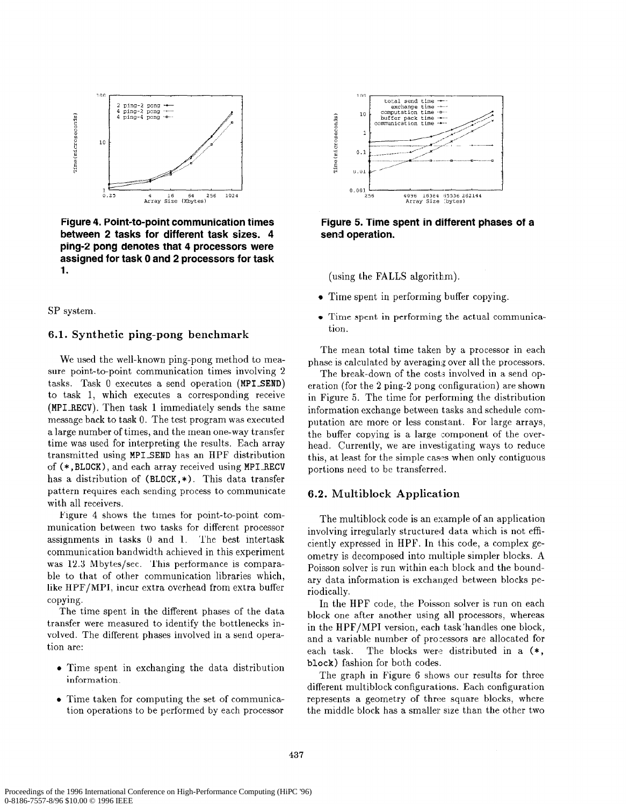

Figure 4. Point-to-point communication times between 2 tasks for different task sizes. 4 ping-2 pong denotes that 4 processors were assigned for task 0 and 2 processors for task 1.

SP system

## 6.1. Synthetic ping-pong benchmark

We used the well-known ping-pong method to measure point-to-point communication times involving 2 tasks. Task  $0$  executes a send operation (MPI\_SEND) to task 1, which executes a corresponding receive (MPIRECV). Then task 1 immediately sends the same message back to task 0. The test program was executed a large number of times, and the mean one-way transfer time was used for interpreting the results. Each array transmitted using MPI-SEND has an HPF distribution of (\*, BLOCK), and each array received using MPI RECV has a distribution of  $(BLOCK, *)$ . This data transfer pattern requires each sending process to communicate with all receivers.

Figure 4 shows the times for point-to-point communication between two tasks for different processor assignments in tasks 0 and 1. The best intertask communication bandwidth achieved in this experiment was 12.3 Mbytes/sec. This performance is comparable to that of other communication libraries which, like HPF/MPI, incur extra overhead from extra buffer copying.

The time spent in the different phases of the data transfer were measured to identify the bottlenecks involved. The different phases involved in a send operation are:

- Time spent in exchanging the data distribution information.
- $\bullet$  Time taken for computing the set of communication operations to be performed by each processor



Figure 5. Time spent in different phases of a send operation.

(using the FALLS algorithm).

- Time spent in performing buffer copying.
- Time spent in performing the actual communication.

The mean total time taken by a processor in each phase is calculated by averaging over all the processors.

The break-down of the costs involved in a send operation (for the 2 ping-2 pong configuration) are shown in Figure 5. The time for performing the distribution information exchange between tasks and schedule computation are more or less constant. For large arrays, the buffer copying is a large component of the overhead. Currently, we are investigating ways to reduce this, at least for the simple cases when only contiguous portions need to be transferred.

#### 6.2. Multiblock Application

The multiblock code is an example of an application involving irregularly structured data which is not efficiently expressed in HPF. In this code, a complex geometry is decomposed into multiple simpler blocks. A Poisson solver is run within each block and the boundary data information is exchanged between blocks periodically.

In the HPF code, the Poisson solver is run on each block one after another using all processors, whereas in the HPF/MPI version, each task handles one block, and a variable number of pro:essors are allocated for each task. The blocks were distributed in a  $(*, )$ block) fashion for both codes.

The graph in Figure 6 shows our results for three different multiblock configurations. Each configuration represents a geometry of three square blocks, where the middle block has a smaller size than the other two